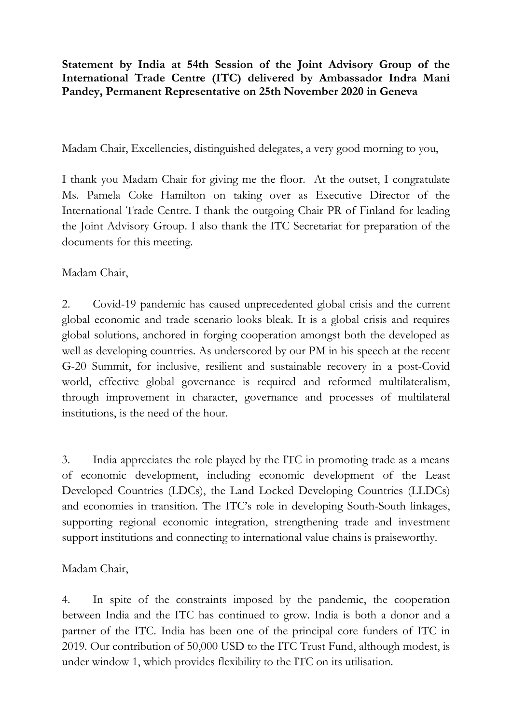**Statement by India at 54th Session of the Joint Advisory Group of the International Trade Centre (ITC) delivered by Ambassador Indra Mani Pandey, Permanent Representative on 25th November 2020 in Geneva**

Madam Chair, Excellencies, distinguished delegates, a very good morning to you,

I thank you Madam Chair for giving me the floor. At the outset, I congratulate Ms. Pamela Coke Hamilton on taking over as Executive Director of the International Trade Centre. I thank the outgoing Chair PR of Finland for leading the Joint Advisory Group. I also thank the ITC Secretariat for preparation of the documents for this meeting.

Madam Chair,

2. Covid-19 pandemic has caused unprecedented global crisis and the current global economic and trade scenario looks bleak. It is a global crisis and requires global solutions, anchored in forging cooperation amongst both the developed as well as developing countries. As underscored by our PM in his speech at the recent G-20 Summit, for inclusive, resilient and sustainable recovery in a post-Covid world, effective global governance is required and reformed multilateralism, through improvement in character, governance and processes of multilateral institutions, is the need of the hour.

3. India appreciates the role played by the ITC in promoting trade as a means of economic development, including economic development of the Least Developed Countries (LDCs), the Land Locked Developing Countries (LLDCs) and economies in transition. The ITC's role in developing South-South linkages, supporting regional economic integration, strengthening trade and investment support institutions and connecting to international value chains is praiseworthy.

Madam Chair,

4. In spite of the constraints imposed by the pandemic, the cooperation between India and the ITC has continued to grow. India is both a donor and a partner of the ITC. India has been one of the principal core funders of ITC in 2019. Our contribution of 50,000 USD to the ITC Trust Fund, although modest, is under window 1, which provides flexibility to the ITC on its utilisation.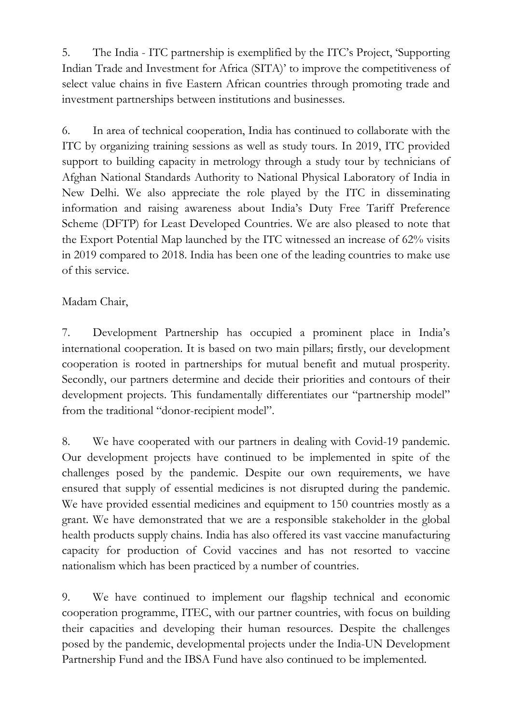5. The India - ITC partnership is exemplified by the ITC's Project, 'Supporting Indian Trade and Investment for Africa (SITA)' to improve the competitiveness of select value chains in five Eastern African countries through promoting trade and investment partnerships between institutions and businesses.

6. In area of technical cooperation, India has continued to collaborate with the ITC by organizing training sessions as well as study tours. In 2019, ITC provided support to building capacity in metrology through a study tour by technicians of Afghan National Standards Authority to National Physical Laboratory of India in New Delhi. We also appreciate the role played by the ITC in disseminating information and raising awareness about India's Duty Free Tariff Preference Scheme (DFTP) for Least Developed Countries. We are also pleased to note that the Export Potential Map launched by the ITC witnessed an increase of 62% visits in 2019 compared to 2018. India has been one of the leading countries to make use of this service.

## Madam Chair,

7. Development Partnership has occupied a prominent place in India's international cooperation. It is based on two main pillars; firstly, our development cooperation is rooted in partnerships for mutual benefit and mutual prosperity. Secondly, our partners determine and decide their priorities and contours of their development projects. This fundamentally differentiates our "partnership model" from the traditional "donor-recipient model".

8. We have cooperated with our partners in dealing with Covid-19 pandemic. Our development projects have continued to be implemented in spite of the challenges posed by the pandemic. Despite our own requirements, we have ensured that supply of essential medicines is not disrupted during the pandemic. We have provided essential medicines and equipment to 150 countries mostly as a grant. We have demonstrated that we are a responsible stakeholder in the global health products supply chains. India has also offered its vast vaccine manufacturing capacity for production of Covid vaccines and has not resorted to vaccine nationalism which has been practiced by a number of countries.

9. We have continued to implement our flagship technical and economic cooperation programme, ITEC, with our partner countries, with focus on building their capacities and developing their human resources. Despite the challenges posed by the pandemic, developmental projects under the India-UN Development Partnership Fund and the IBSA Fund have also continued to be implemented.